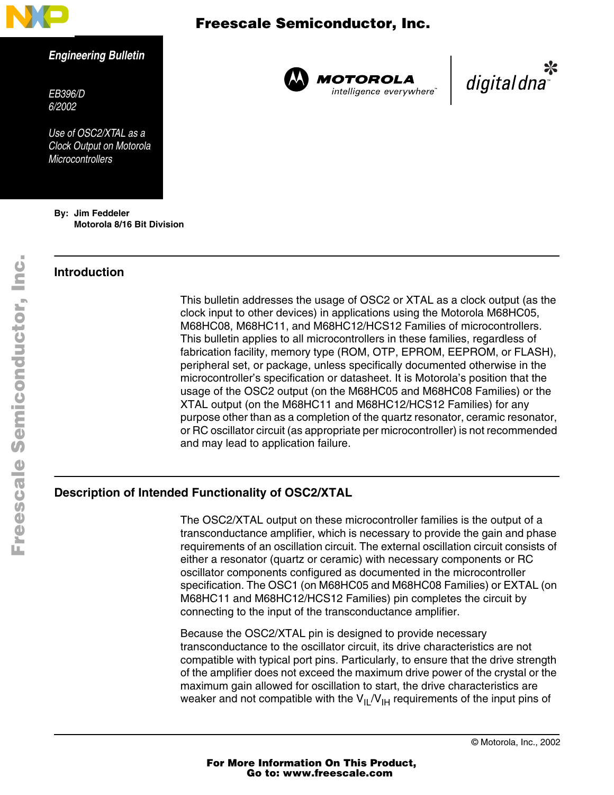

### *Engineering Bulletin*

*EB396/D 6/2002*

*Use of OSC2/XTAL as a Clock Output on Motorola Microcontrollers*

**By: Jim Feddeler Motorola 8/16 Bit Division**

### **Introduction**

 Freescale Semiconductor, Inc.



**MOTOROLA** intelligence everywhere

digital dna

This bulletin addresses the usage of OSC2 or XTAL as a clock output (as the clock input to other devices) in applications using the Motorola M68HC05, M68HC08, M68HC11, and M68HC12/HCS12 Families of microcontrollers. This bulletin applies to all microcontrollers in these families, regardless of fabrication facility, memory type (ROM, OTP, EPROM, EEPROM, or FLASH), peripheral set, or package, unless specifically documented otherwise in the microcontroller's specification or datasheet. It is Motorola's position that the usage of the OSC2 output (on the M68HC05 and M68HC08 Families) or the XTAL output (on the M68HC11 and M68HC12/HCS12 Families) for any purpose other than as a completion of the quartz resonator, ceramic resonator, or RC oscillator circuit (as appropriate per microcontroller) is not recommended and may lead to application failure.

### **Description of Intended Functionality of OSC2/XTAL**

The OSC2/XTAL output on these microcontroller families is the output of a transconductance amplifier, which is necessary to provide the gain and phase requirements of an oscillation circuit. The external oscillation circuit consists of either a resonator (quartz or ceramic) with necessary components or RC oscillator components configured as documented in the microcontroller specification. The OSC1 (on M68HC05 and M68HC08 Families) or EXTAL (on M68HC11 and M68HC12/HCS12 Families) pin completes the circuit by connecting to the input of the transconductance amplifier.

Because the OSC2/XTAL pin is designed to provide necessary transconductance to the oscillator circuit, its drive characteristics are not compatible with typical port pins. Particularly, to ensure that the drive strength of the amplifier does not exceed the maximum drive power of the crystal or the maximum gain allowed for oscillation to start, the drive characteristics are weaker and not compatible with the  $V_{II}/V_{I}$  requirements of the input pins of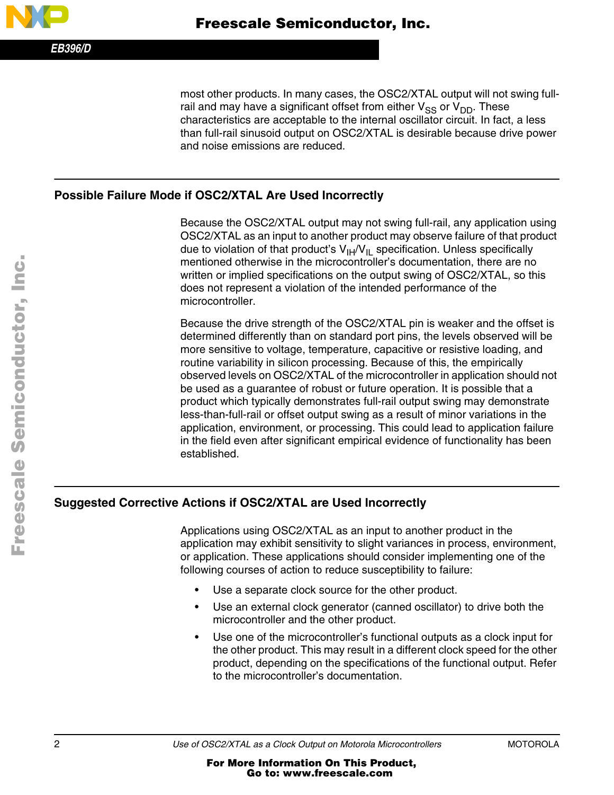*EB396/D*

most other products. In many cases, the OSC2/XTAL output will not swing fullrail and may have a significant offset from either  $V_{SS}$  or  $V_{DD}$ . These characteristics are acceptable to the internal oscillator circuit. In fact, a less than full-rail sinusoid output on OSC2/XTAL is desirable because drive power and noise emissions are reduced.

### **Possible Failure Mode if OSC2/XTAL Are Used Incorrectly**

Because the OSC2/XTAL output may not swing full-rail, any application using OSC2/XTAL as an input to another product may observe failure of that product due to violation of that product's  $V_{I}H/V_{I}L$  specification. Unless specifically mentioned otherwise in the microcontroller's documentation, there are no written or implied specifications on the output swing of OSC2/XTAL, so this does not represent a violation of the intended performance of the microcontroller.

Because the drive strength of the OSC2/XTAL pin is weaker and the offset is determined differently than on standard port pins, the levels observed will be more sensitive to voltage, temperature, capacitive or resistive loading, and routine variability in silicon processing. Because of this, the empirically observed levels on OSC2/XTAL of the microcontroller in application should not be used as a guarantee of robust or future operation. It is possible that a product which typically demonstrates full-rail output swing may demonstrate less-than-full-rail or offset output swing as a result of minor variations in the application, environment, or processing. This could lead to application failure in the field even after significant empirical evidence of functionality has been established.

## **Suggested Corrective Actions if OSC2/XTAL are Used Incorrectly**

Applications using OSC2/XTAL as an input to another product in the application may exhibit sensitivity to slight variances in process, environment, or application. These applications should consider implementing one of the following courses of action to reduce susceptibility to failure:

- Use a separate clock source for the other product.
- Use an external clock generator (canned oscillator) to drive both the microcontroller and the other product.
- Use one of the microcontroller's functional outputs as a clock input for the other product. This may result in a different clock speed for the other product, depending on the specifications of the functional output. Refer to the microcontroller's documentation.

.<br>ق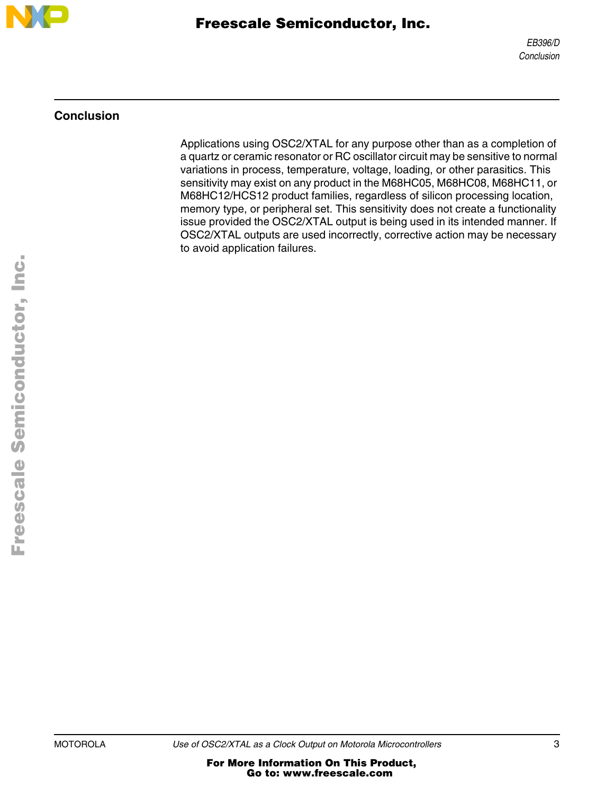

# Freescale Semiconductor, Inc.

### **Conclusion**

Applications using OSC2/XTAL for any purpose other than as a completion of a quartz or ceramic resonator or RC oscillator circuit may be sensitive to normal variations in process, temperature, voltage, loading, or other parasitics. This sensitivity may exist on any product in the M68HC05, M68HC08, M68HC11, or M68HC12/HCS12 product families, regardless of silicon processing location, memory type, or peripheral set. This sensitivity does not create a functionality issue provided the OSC2/XTAL output is being used in its intended manner. If OSC2/XTAL outputs are used incorrectly, corrective action may be necessary to avoid application failures.